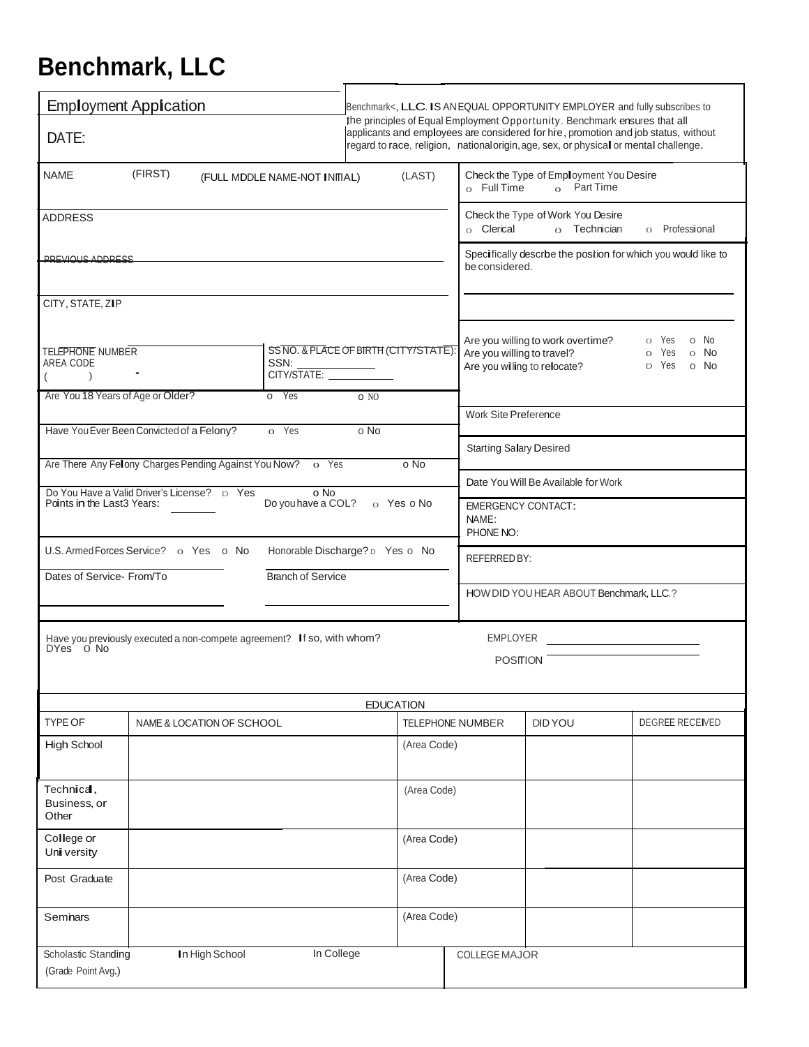# **Benchmark, LLC**

| <b>Employment Application</b>                                                                                             |                                                                         |                                 | Benchmark<, LLC. IS AN EQUAL OPPORTUNITY EMPLOYER and fully subscribes to<br>the principles of Equal Employment Opportunity. Benchmark ensures that all                    |                         |                                                                                                                                                                                |                                                                                    |                 |  |
|---------------------------------------------------------------------------------------------------------------------------|-------------------------------------------------------------------------|---------------------------------|----------------------------------------------------------------------------------------------------------------------------------------------------------------------------|-------------------------|--------------------------------------------------------------------------------------------------------------------------------------------------------------------------------|------------------------------------------------------------------------------------|-----------------|--|
| DATE:                                                                                                                     |                                                                         |                                 | applicants and employees are considered for hre, promotion and job status, without<br>regard to race, religion, nationalorigin, age, sex, or physical or mental challenge. |                         |                                                                                                                                                                                |                                                                                    |                 |  |
| <b>NAME</b>                                                                                                               | (FIRST)<br>(LAST)<br>(FULL MDDLE NAME-NOT INMAL)                        |                                 |                                                                                                                                                                            |                         |                                                                                                                                                                                | Check the Type of Employment You Desire<br>$\Omega$ Part Time<br>$\circ$ Full Time |                 |  |
| <b>ADDRESS</b>                                                                                                            |                                                                         |                                 |                                                                                                                                                                            |                         | $\circ$ Clerical                                                                                                                                                               | Check the Type of Work You Desire<br>$\circ$ Technician<br>o Professional          |                 |  |
| DDEVIOUS ADDDESS                                                                                                          |                                                                         |                                 |                                                                                                                                                                            |                         |                                                                                                                                                                                | Specifically descrbe the postion for which you would like to<br>be considered.     |                 |  |
| CITY, STATE, ZIP                                                                                                          |                                                                         |                                 |                                                                                                                                                                            |                         |                                                                                                                                                                                |                                                                                    |                 |  |
| SS NO. & PLACE OF BIRTH (CITY/STATE):<br>TELEPHONE NUMBER<br>SSN:<br>AREA CODE<br>CITY/STATE:<br>$\mathcal{L}$            |                                                                         |                                 |                                                                                                                                                                            |                         | Are you willing to work overtime?<br>$O$ Yes<br>o No<br>Are you willing to travel?<br>Yes<br>$\circ$ No<br>$\Omega$<br>Are you willing to relocate?<br>D Yes<br>No<br>$\Omega$ |                                                                                    |                 |  |
| Have You Ever Been Convicted of a Felony?                                                                                 | Are You 18 Years of Age or Older?<br>o Yes<br>o NO<br>o Yes<br>o No     |                                 |                                                                                                                                                                            |                         |                                                                                                                                                                                | Work Site Preference                                                               |                 |  |
|                                                                                                                           | Are There Any Fellony Charges Pending Against You Now? o Yes            |                                 |                                                                                                                                                                            | o No                    |                                                                                                                                                                                | <b>Starting Salary Desired</b>                                                     |                 |  |
|                                                                                                                           |                                                                         |                                 |                                                                                                                                                                            |                         | Date You Will Be Available for Work                                                                                                                                            |                                                                                    |                 |  |
| Do You Have a Valid Driver's License? D Yes<br>o No<br>Do you have a COL?<br>Points in the Last3 Years:<br>$O$ Yes $O$ No |                                                                         |                                 |                                                                                                                                                                            | NAME:<br>PHONE NO:      | <b>EMERGENCY CONTACT:</b>                                                                                                                                                      |                                                                                    |                 |  |
|                                                                                                                           | U.S. Armed Forces Service? o Yes o No                                   | Honorable Discharge? D Yes o No |                                                                                                                                                                            |                         |                                                                                                                                                                                | REFERRED BY:                                                                       |                 |  |
| Dates of Service- From/To                                                                                                 |                                                                         | <b>Branch of Service</b>        |                                                                                                                                                                            |                         | HOW DID YOU HEAR ABOUT Benchmark, LLC.?                                                                                                                                        |                                                                                    |                 |  |
|                                                                                                                           |                                                                         |                                 |                                                                                                                                                                            |                         |                                                                                                                                                                                |                                                                                    |                 |  |
| DYes 0 No                                                                                                                 | Have you previously executed a non-compete agreement? If so, with whom? |                                 |                                                                                                                                                                            |                         |                                                                                                                                                                                | <b>EMPLOYER</b><br><b>POSITION</b>                                                 |                 |  |
|                                                                                                                           |                                                                         |                                 |                                                                                                                                                                            |                         |                                                                                                                                                                                |                                                                                    |                 |  |
|                                                                                                                           |                                                                         |                                 | <b>EDUCATION</b>                                                                                                                                                           |                         |                                                                                                                                                                                |                                                                                    |                 |  |
| TYPE OF                                                                                                                   | NAME & LOCATION OF SCHOOL                                               |                                 |                                                                                                                                                                            | <b>TELEPHONE NUMBER</b> |                                                                                                                                                                                | <b>DID YOU</b>                                                                     | DEGREE RECEIVED |  |
| High School                                                                                                               |                                                                         |                                 | (Area Code)                                                                                                                                                                |                         |                                                                                                                                                                                |                                                                                    |                 |  |
| Technica,<br>Business, or<br>Other                                                                                        |                                                                         |                                 | (Area Code)                                                                                                                                                                |                         |                                                                                                                                                                                |                                                                                    |                 |  |
| College or<br>Uni versity                                                                                                 |                                                                         |                                 |                                                                                                                                                                            | (Area Code)             |                                                                                                                                                                                |                                                                                    |                 |  |
| Post Graduate                                                                                                             |                                                                         | (Area Code)                     |                                                                                                                                                                            |                         |                                                                                                                                                                                |                                                                                    |                 |  |
| Semnars                                                                                                                   | (Area Code)                                                             |                                 |                                                                                                                                                                            |                         |                                                                                                                                                                                |                                                                                    |                 |  |
| Scholastic Standing<br>(Grade Point Avg.)                                                                                 | In High School                                                          | In College                      |                                                                                                                                                                            |                         | COLLEGE MAJOR                                                                                                                                                                  |                                                                                    |                 |  |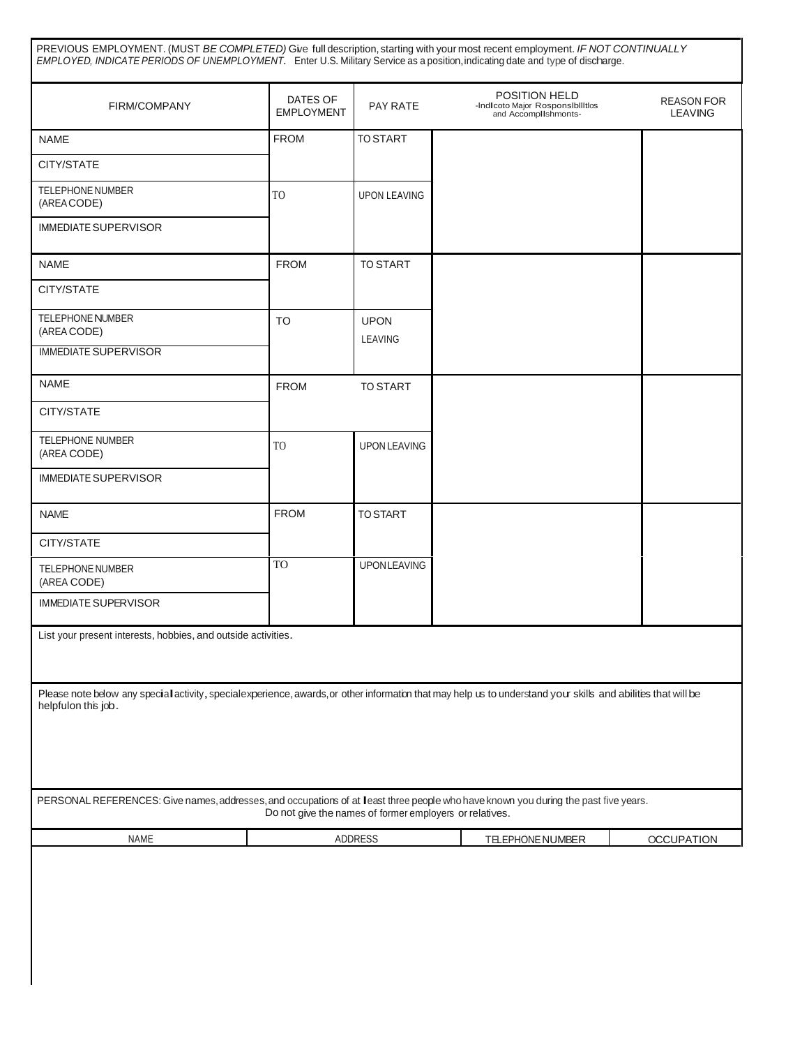PREVIOUS EMPLOYMENT. (MUST *BE COMPLETED)* Give full description, starting with your most recent employment. *IF* NO*T CONTINUALLY*<br>*EMPLOYED, INDICATE PERIODS OF UNEMPLOYMENT.* Enter U.S. Military Service as a position, i

| FIRM/COMPANY                                                                                                                                                                                   | DATES OF<br><b>EMPLOYMENT</b> | PAY RATE            | POSITION HELD<br>-Indicoto Major Rosponsibilitios<br>and Accomplishmonts- | <b>REASON FOR</b><br><b>LEAVING</b> |  |  |  |  |
|------------------------------------------------------------------------------------------------------------------------------------------------------------------------------------------------|-------------------------------|---------------------|---------------------------------------------------------------------------|-------------------------------------|--|--|--|--|
| <b>NAME</b>                                                                                                                                                                                    | <b>FROM</b>                   | <b>TO START</b>     |                                                                           |                                     |  |  |  |  |
| CITY/STATE                                                                                                                                                                                     |                               |                     |                                                                           |                                     |  |  |  |  |
| TELEPHONE NUMBER<br>(AREA CODE)                                                                                                                                                                | T <sub>O</sub>                | UPON LEAVING        |                                                                           |                                     |  |  |  |  |
| <b>IMMEDIATE SUPERVISOR</b>                                                                                                                                                                    |                               |                     |                                                                           |                                     |  |  |  |  |
| <b>NAME</b>                                                                                                                                                                                    | <b>FROM</b>                   | <b>TO START</b>     |                                                                           |                                     |  |  |  |  |
| CITY/STATE                                                                                                                                                                                     |                               |                     |                                                                           |                                     |  |  |  |  |
| TELEPHONE NUMBER<br>(AREA CODE)                                                                                                                                                                | <b>TO</b>                     |                     |                                                                           |                                     |  |  |  |  |
| <b>IMMEDIATE SUPERVISOR</b>                                                                                                                                                                    |                               | LEAVING             |                                                                           |                                     |  |  |  |  |
| <b>NAME</b>                                                                                                                                                                                    | <b>FROM</b>                   | <b>TO START</b>     |                                                                           |                                     |  |  |  |  |
| CITY/STATE                                                                                                                                                                                     |                               |                     |                                                                           |                                     |  |  |  |  |
| TELEPHONE NUMBER<br>(AREA CODE)                                                                                                                                                                | T <sub>O</sub>                | <b>UPON LEAVING</b> |                                                                           |                                     |  |  |  |  |
| <b>IMMEDIATE SUPERVISOR</b>                                                                                                                                                                    |                               |                     |                                                                           |                                     |  |  |  |  |
| <b>NAME</b>                                                                                                                                                                                    | <b>FROM</b>                   | <b>TO START</b>     |                                                                           |                                     |  |  |  |  |
| CITY/STATE                                                                                                                                                                                     |                               |                     |                                                                           |                                     |  |  |  |  |
| TELEPHONE NUMBER<br>(AREA CODE)                                                                                                                                                                | TO <sub>1</sub>               | <b>UPON LEAVING</b> |                                                                           |                                     |  |  |  |  |
| <b>IMMEDIATE SUPERVISOR</b>                                                                                                                                                                    |                               |                     |                                                                           |                                     |  |  |  |  |
| List your present interests, hobbies, and outside activities.                                                                                                                                  |                               |                     |                                                                           |                                     |  |  |  |  |
|                                                                                                                                                                                                |                               |                     |                                                                           |                                     |  |  |  |  |
| Please note below any special activity, specialexperience, awards, or other information that may help us to understand your skills and abilities that will be<br>helpfulon this job.           |                               |                     |                                                                           |                                     |  |  |  |  |
|                                                                                                                                                                                                |                               |                     |                                                                           |                                     |  |  |  |  |
|                                                                                                                                                                                                |                               |                     |                                                                           |                                     |  |  |  |  |
| PERSONAL REFERENCES: Give names, addresses, and occupations of at least three people who have known you during the past five years.<br>Do not give the names of former employers or relatives. |                               |                     |                                                                           |                                     |  |  |  |  |
| NAME                                                                                                                                                                                           | ADDRESS                       |                     | TELEPHONE NUMBER                                                          | <b>OCCUPATION</b>                   |  |  |  |  |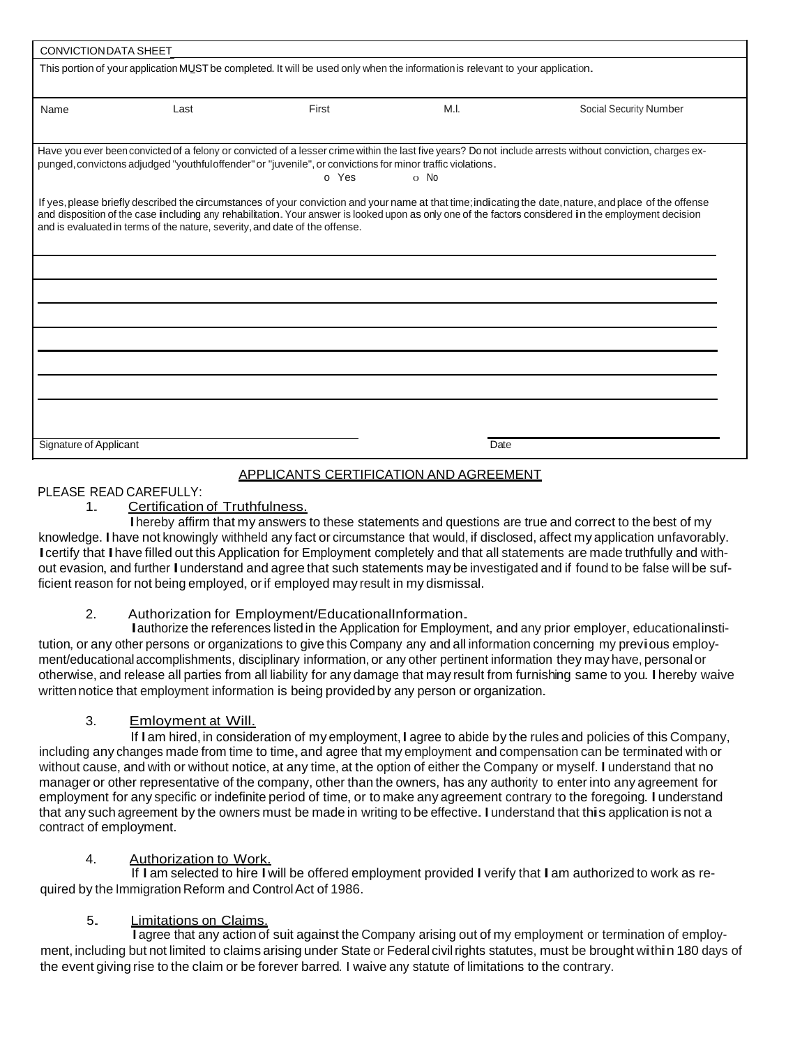| <b>CONVICTION DATA SHEET</b>                                                                                                   |                                                                             |                                                                                                                      |             |                                                                                                                                                                                                                                                                                                                  |  |  |  |
|--------------------------------------------------------------------------------------------------------------------------------|-----------------------------------------------------------------------------|----------------------------------------------------------------------------------------------------------------------|-------------|------------------------------------------------------------------------------------------------------------------------------------------------------------------------------------------------------------------------------------------------------------------------------------------------------------------|--|--|--|
| This portion of your application MUST be completed. It will be used only when the information is relevant to your application. |                                                                             |                                                                                                                      |             |                                                                                                                                                                                                                                                                                                                  |  |  |  |
|                                                                                                                                |                                                                             |                                                                                                                      |             |                                                                                                                                                                                                                                                                                                                  |  |  |  |
| Name                                                                                                                           | Last                                                                        | First                                                                                                                | M.L         | Social Security Number                                                                                                                                                                                                                                                                                           |  |  |  |
|                                                                                                                                |                                                                             |                                                                                                                      |             |                                                                                                                                                                                                                                                                                                                  |  |  |  |
|                                                                                                                                |                                                                             |                                                                                                                      |             | Have you ever been convicted of a felony or convicted of a lesser crime within the last five years? Do not include arrests without conviction, charges ex-                                                                                                                                                       |  |  |  |
|                                                                                                                                |                                                                             | punged, convictons adjudged "youthful offender" or "juvenile", or convictions for minor traffic violations.<br>o Yes | $\Omega$ No |                                                                                                                                                                                                                                                                                                                  |  |  |  |
|                                                                                                                                |                                                                             |                                                                                                                      |             |                                                                                                                                                                                                                                                                                                                  |  |  |  |
|                                                                                                                                |                                                                             |                                                                                                                      |             | If yes, please briefly described the circumstances of your conviction and your name at that time; indicating the date, nature, and place of the offense<br>and disposition of the case including any rehabilitation. Your answer is looked upon as only one of the factors considered in the employment decision |  |  |  |
|                                                                                                                                | and is evaluated in terms of the nature, severity, and date of the offense. |                                                                                                                      |             |                                                                                                                                                                                                                                                                                                                  |  |  |  |
|                                                                                                                                |                                                                             |                                                                                                                      |             |                                                                                                                                                                                                                                                                                                                  |  |  |  |
|                                                                                                                                |                                                                             |                                                                                                                      |             |                                                                                                                                                                                                                                                                                                                  |  |  |  |
|                                                                                                                                |                                                                             |                                                                                                                      |             |                                                                                                                                                                                                                                                                                                                  |  |  |  |
|                                                                                                                                |                                                                             |                                                                                                                      |             |                                                                                                                                                                                                                                                                                                                  |  |  |  |
|                                                                                                                                |                                                                             |                                                                                                                      |             |                                                                                                                                                                                                                                                                                                                  |  |  |  |
|                                                                                                                                |                                                                             |                                                                                                                      |             |                                                                                                                                                                                                                                                                                                                  |  |  |  |
|                                                                                                                                |                                                                             |                                                                                                                      |             |                                                                                                                                                                                                                                                                                                                  |  |  |  |
|                                                                                                                                |                                                                             |                                                                                                                      |             |                                                                                                                                                                                                                                                                                                                  |  |  |  |
|                                                                                                                                |                                                                             |                                                                                                                      |             |                                                                                                                                                                                                                                                                                                                  |  |  |  |
|                                                                                                                                |                                                                             |                                                                                                                      |             |                                                                                                                                                                                                                                                                                                                  |  |  |  |
| Signature of Applicant                                                                                                         |                                                                             |                                                                                                                      | Date        |                                                                                                                                                                                                                                                                                                                  |  |  |  |

## APPLICANTS CERTIFICATION AND AGREEMENT

#### PLEASE READ CAREFULLY:

## 1. Certification of Truthfulness.

Ihereby affirm that my answers to these statements and questions are true and correct to the best of my knowledge. Ihave not knowingly withheld any fact or circumstance that would, if disclosed, affect my application unfavorably. Icertify that Ihave filled out this Application for Employment completely and that all statements are made truthfully and without evasion, and further I understand and agree that such statements may be investigated and if found to be false will be sufficient reason for not being employed, orif employed may result in my dismissal.

#### 2. Authorization for Employment/EducationalInformation.

Iauthorize the references listed in the Application for Employment, and any prior employer, educationalinstitution, or any other persons or organizations to give this Company any and all information concerning my previous employment/educational accomplishments, disciplinary information, or any other pertinent information they may have, personal or otherwise, and release all parties from all liability for any damage that may result from furnishing same to you.Ihereby waive writtennotice that employment information is being providedby any person or organization.

# 3. Emloyment at Will.

If I am hired, in consideration of my employment, I agree to abide by the rules and policies of this Company, including any changes made from time to time, and agree that my employment and compensation can be terminated with or without cause, and with or without notice, at any time, at the option of either the Company or myself. Iunderstand that no manager or other representative of the company, other than the owners, has any authority to enter into any agreement for employment for any specific or indefinite period of time, or to make any agreement contrary to the foregoing. I understand that any such agreement by the owners must be made in writing to be effective. I understand that this application is not a contract of employment.

# 4. Authorization to Work.

If Iam selected to hire Iwill be offered employment provided I verify that Iam authorized to work as required by the Immigration Reform and ControlAct of 1986.

# 5. Limitations on Claims.

Iagree that any action of suit against the Company arising out of my employment or termination of employment, including but not limited to claims arising under State or Federal civilrights statutes, must be brought within <sup>180</sup> days of the event giving rise to the claim or be forever barred. I waive any statute of limitations to the contrary.